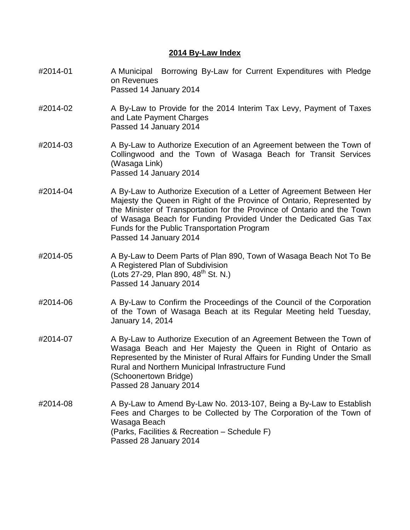## **2014 By-Law Index**

- #2014-01 A Municipal Borrowing By-Law for Current Expenditures with Pledge on Revenues Passed 14 January 2014
- #2014-02 A By-Law to Provide for the 2014 Interim Tax Levy, Payment of Taxes and Late Payment Charges Passed 14 January 2014
- #2014-03 A By-Law to Authorize Execution of an Agreement between the Town of Collingwood and the Town of Wasaga Beach for Transit Services (Wasaga Link) Passed 14 January 2014
- #2014-04 A By-Law to Authorize Execution of a Letter of Agreement Between Her Majesty the Queen in Right of the Province of Ontario, Represented by the Minister of Transportation for the Province of Ontario and the Town of Wasaga Beach for Funding Provided Under the Dedicated Gas Tax Funds for the Public Transportation Program Passed 14 January 2014
- #2014-05 A By-Law to Deem Parts of Plan 890, Town of Wasaga Beach Not To Be A Registered Plan of Subdivision (Lots 27-29, Plan 890,  $48^{th}$  St. N.) Passed 14 January 2014
- #2014-06 A By-Law to Confirm the Proceedings of the Council of the Corporation of the Town of Wasaga Beach at its Regular Meeting held Tuesday, January 14, 2014
- #2014-07 A By-Law to Authorize Execution of an Agreement Between the Town of Wasaga Beach and Her Majesty the Queen in Right of Ontario as Represented by the Minister of Rural Affairs for Funding Under the Small Rural and Northern Municipal Infrastructure Fund (Schoonertown Bridge) Passed 28 January 2014
- #2014-08 A By-Law to Amend By-Law No. 2013-107, Being a By-Law to Establish Fees and Charges to be Collected by The Corporation of the Town of Wasaga Beach (Parks, Facilities & Recreation – Schedule F) Passed 28 January 2014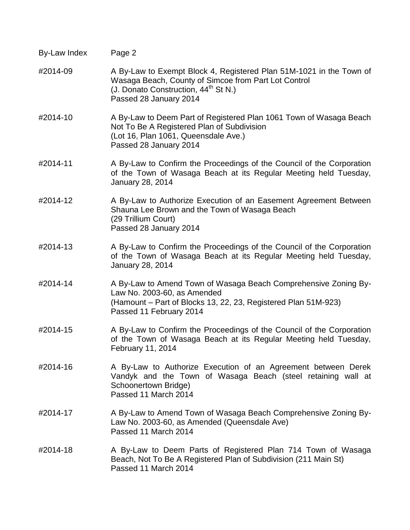| By-Law Index | Page 2                                                                                                                                                                                                    |
|--------------|-----------------------------------------------------------------------------------------------------------------------------------------------------------------------------------------------------------|
| #2014-09     | A By-Law to Exempt Block 4, Registered Plan 51M-1021 in the Town of<br>Wasaga Beach, County of Simcoe from Part Lot Control<br>(J. Donato Construction, $44^{\text{th}}$ St N.)<br>Passed 28 January 2014 |
| #2014-10     | A By-Law to Deem Part of Registered Plan 1061 Town of Wasaga Beach<br>Not To Be A Registered Plan of Subdivision<br>(Lot 16, Plan 1061, Queensdale Ave.)<br>Passed 28 January 2014                        |
| #2014-11     | A By-Law to Confirm the Proceedings of the Council of the Corporation<br>of the Town of Wasaga Beach at its Regular Meeting held Tuesday,<br>January 28, 2014                                             |
| #2014-12     | A By-Law to Authorize Execution of an Easement Agreement Between<br>Shauna Lee Brown and the Town of Wasaga Beach<br>(29 Trillium Court)<br>Passed 28 January 2014                                        |
| #2014-13     | A By-Law to Confirm the Proceedings of the Council of the Corporation<br>of the Town of Wasaga Beach at its Regular Meeting held Tuesday,<br>January 28, 2014                                             |
| #2014-14     | A By-Law to Amend Town of Wasaga Beach Comprehensive Zoning By-<br>Law No. 2003-60, as Amended<br>(Hamount – Part of Blocks 13, 22, 23, Registered Plan 51M-923)<br>Passed 11 February 2014               |
| #2014-15     | A By-Law to Confirm the Proceedings of the Council of the Corporation<br>of the Town of Wasaga Beach at its Regular Meeting held Tuesday,<br>February 11, 2014                                            |
| #2014-16     | A By-Law to Authorize Execution of an Agreement between Derek<br>Vandyk and the Town of Wasaga Beach (steel retaining wall at<br>Schoonertown Bridge)<br>Passed 11 March 2014                             |
| #2014-17     | A By-Law to Amend Town of Wasaga Beach Comprehensive Zoning By-<br>Law No. 2003-60, as Amended (Queensdale Ave)<br>Passed 11 March 2014                                                                   |
| #2014-18     | A By-Law to Deem Parts of Registered Plan 714 Town of Wasaga<br>Beach, Not To Be A Registered Plan of Subdivision (211 Main St)<br>Passed 11 March 2014                                                   |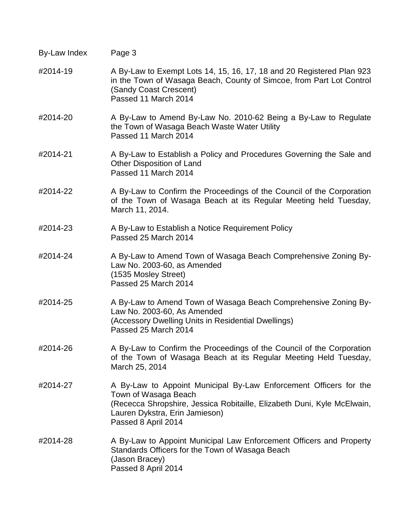| By-Law Index | Page 3 |
|--------------|--------|
|--------------|--------|

- #2014-19 A By-Law to Exempt Lots 14, 15, 16, 17, 18 and 20 Registered Plan 923 in the Town of Wasaga Beach, County of Simcoe, from Part Lot Control (Sandy Coast Crescent) Passed 11 March 2014
- #2014-20 A By-Law to Amend By-Law No. 2010-62 Being a By-Law to Regulate the Town of Wasaga Beach Waste Water Utility Passed 11 March 2014
- #2014-21 A By-Law to Establish a Policy and Procedures Governing the Sale and Other Disposition of Land Passed 11 March 2014
- #2014-22 A By-Law to Confirm the Proceedings of the Council of the Corporation of the Town of Wasaga Beach at its Regular Meeting held Tuesday, March 11, 2014.
- #2014-23 A By-Law to Establish a Notice Requirement Policy Passed 25 March 2014
- #2014-24 A By-Law to Amend Town of Wasaga Beach Comprehensive Zoning By-Law No. 2003-60, as Amended (1535 Mosley Street) Passed 25 March 2014
- #2014-25 A By-Law to Amend Town of Wasaga Beach Comprehensive Zoning By-Law No. 2003-60, As Amended (Accessory Dwelling Units in Residential Dwellings) Passed 25 March 2014
- #2014-26 A By-Law to Confirm the Proceedings of the Council of the Corporation of the Town of Wasaga Beach at its Regular Meeting Held Tuesday, March 25, 2014
- #2014-27 A By-Law to Appoint Municipal By-Law Enforcement Officers for the Town of Wasaga Beach (Rececca Shropshire, Jessica Robitaille, Elizabeth Duni, Kyle McElwain, Lauren Dykstra, Erin Jamieson) Passed 8 April 2014
- #2014-28 A By-Law to Appoint Municipal Law Enforcement Officers and Property Standards Officers for the Town of Wasaga Beach (Jason Bracey) Passed 8 April 2014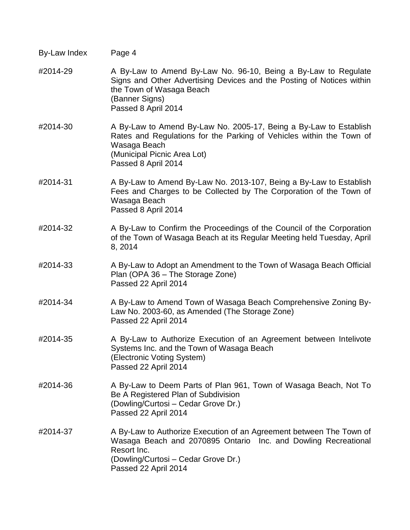| By-Law Index | Page 4                                                                                                                                                                                                          |
|--------------|-----------------------------------------------------------------------------------------------------------------------------------------------------------------------------------------------------------------|
| #2014-29     | A By-Law to Amend By-Law No. 96-10, Being a By-Law to Regulate<br>Signs and Other Advertising Devices and the Posting of Notices within<br>the Town of Wasaga Beach<br>(Banner Signs)<br>Passed 8 April 2014    |
| #2014-30     | A By-Law to Amend By-Law No. 2005-17, Being a By-Law to Establish<br>Rates and Regulations for the Parking of Vehicles within the Town of<br>Wasaga Beach<br>(Municipal Picnic Area Lot)<br>Passed 8 April 2014 |
| #2014-31     | A By-Law to Amend By-Law No. 2013-107, Being a By-Law to Establish<br>Fees and Charges to be Collected by The Corporation of the Town of<br>Wasaga Beach<br>Passed 8 April 2014                                 |
| #2014-32     | A By-Law to Confirm the Proceedings of the Council of the Corporation<br>of the Town of Wasaga Beach at its Regular Meeting held Tuesday, April<br>8, 2014                                                      |
| #2014-33     | A By-Law to Adopt an Amendment to the Town of Wasaga Beach Official<br>Plan (OPA 36 - The Storage Zone)<br>Passed 22 April 2014                                                                                 |
| #2014-34     | A By-Law to Amend Town of Wasaga Beach Comprehensive Zoning By-<br>Law No. 2003-60, as Amended (The Storage Zone)<br>Passed 22 April 2014                                                                       |
| #2014-35     | A By-Law to Authorize Execution of an Agreement between Intelivote<br>Systems Inc. and the Town of Wasaga Beach<br>(Electronic Voting System)<br>Passed 22 April 2014                                           |
| #2014-36     | A By-Law to Deem Parts of Plan 961, Town of Wasaga Beach, Not To<br>Be A Registered Plan of Subdivision<br>(Dowling/Curtosi – Cedar Grove Dr.)<br>Passed 22 April 2014                                          |
| #2014-37     | A By-Law to Authorize Execution of an Agreement between The Town of<br>Wasaga Beach and 2070895 Ontario Inc. and Dowling Recreational<br>Resort Inc.<br>(Dowling/Curtosi - Cedar Grove Dr.)                     |

Passed 22 April 2014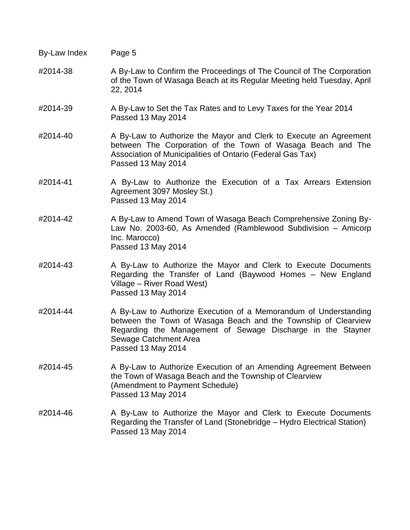| By-Law Index | Page 5                                                                                                                                                                                                                                           |
|--------------|--------------------------------------------------------------------------------------------------------------------------------------------------------------------------------------------------------------------------------------------------|
| #2014-38     | A By-Law to Confirm the Proceedings of The Council of The Corporation<br>of the Town of Wasaga Beach at its Regular Meeting held Tuesday, April<br>22, 2014                                                                                      |
| #2014-39     | A By-Law to Set the Tax Rates and to Levy Taxes for the Year 2014<br>Passed 13 May 2014                                                                                                                                                          |
| #2014-40     | A By-Law to Authorize the Mayor and Clerk to Execute an Agreement<br>between The Corporation of the Town of Wasaga Beach and The<br>Association of Municipalities of Ontario (Federal Gas Tax)<br>Passed 13 May 2014                             |
| #2014-41     | A By-Law to Authorize the Execution of a Tax Arrears Extension<br>Agreement 3097 Mosley St.)<br>Passed 13 May 2014                                                                                                                               |
| #2014-42     | A By-Law to Amend Town of Wasaga Beach Comprehensive Zoning By-<br>Law No. 2003-60, As Amended (Ramblewood Subdivision - Amicorp<br>Inc. Marocco)<br>Passed 13 May 2014                                                                          |
| #2014-43     | A By-Law to Authorize the Mayor and Clerk to Execute Documents<br>Regarding the Transfer of Land (Baywood Homes – New England<br>Village – River Road West)<br>Passed 13 May 2014                                                                |
| #2014-44     | A By-Law to Authorize Execution of a Memorandum of Understanding<br>between the Town of Wasaga Beach and the Township of Clearview<br>Regarding the Management of Sewage Discharge in the Stayner<br>Sewage Catchment Area<br>Passed 13 May 2014 |
| #2014-45     | A By-Law to Authorize Execution of an Amending Agreement Between<br>the Town of Wasaga Beach and the Township of Clearview<br>(Amendment to Payment Schedule)<br>Passed 13 May 2014                                                              |
| #2014-46     | A By-Law to Authorize the Mayor and Clerk to Execute Documents<br>Regarding the Transfer of Land (Stonebridge – Hydro Electrical Station)<br>Passed 13 May 2014                                                                                  |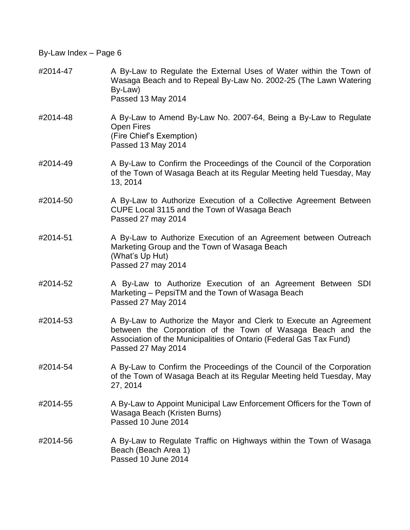#2014-47 A By-Law to Regulate the External Uses of Water within the Town of Wasaga Beach and to Repeal By-Law No. 2002-25 (The Lawn Watering By-Law) Passed 13 May 2014 #2014-48 A By-Law to Amend By-Law No. 2007-64, Being a By-Law to Regulate Open Fires (Fire Chief's Exemption) Passed 13 May 2014 #2014-49 A By-Law to Confirm the Proceedings of the Council of the Corporation of the Town of Wasaga Beach at its Regular Meeting held Tuesday, May 13, 2014 #2014-50 A By-Law to Authorize Execution of a Collective Agreement Between CUPE Local 3115 and the Town of Wasaga Beach Passed 27 may 2014 #2014-51 A By-Law to Authorize Execution of an Agreement between Outreach Marketing Group and the Town of Wasaga Beach (What's Up Hut) Passed 27 may 2014 #2014-52 A By-Law to Authorize Execution of an Agreement Between SDI Marketing – PepsiTM and the Town of Wasaga Beach Passed 27 May 2014 #2014-53 A By-Law to Authorize the Mayor and Clerk to Execute an Agreement between the Corporation of the Town of Wasaga Beach and the Association of the Municipalities of Ontario (Federal Gas Tax Fund) Passed 27 May 2014 #2014-54 A By-Law to Confirm the Proceedings of the Council of the Corporation of the Town of Wasaga Beach at its Regular Meeting held Tuesday, May 27, 2014 #2014-55 A By-Law to Appoint Municipal Law Enforcement Officers for the Town of Wasaga Beach (Kristen Burns) Passed 10 June 2014 #2014-56 A By-Law to Regulate Traffic on Highways within the Town of Wasaga Beach (Beach Area 1) Passed 10 June 2014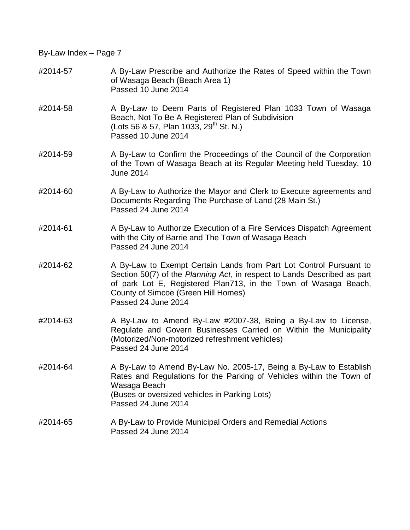- #2014-57 A By-Law Prescribe and Authorize the Rates of Speed within the Town of Wasaga Beach (Beach Area 1) Passed 10 June 2014
- #2014-58 A By-Law to Deem Parts of Registered Plan 1033 Town of Wasaga Beach, Not To Be A Registered Plan of Subdivision (Lots 56 & 57, Plan 1033, 29<sup>th</sup> St. N.) Passed 10 June 2014
- #2014-59 A By-Law to Confirm the Proceedings of the Council of the Corporation of the Town of Wasaga Beach at its Regular Meeting held Tuesday, 10 June 2014
- #2014-60 A By-Law to Authorize the Mayor and Clerk to Execute agreements and Documents Regarding The Purchase of Land (28 Main St.) Passed 24 June 2014
- #2014-61 A By-Law to Authorize Execution of a Fire Services Dispatch Agreement with the City of Barrie and The Town of Wasaga Beach Passed 24 June 2014
- #2014-62 A By-Law to Exempt Certain Lands from Part Lot Control Pursuant to Section 50(7) of the *Planning Act*, in respect to Lands Described as part of park Lot E, Registered Plan713, in the Town of Wasaga Beach, County of Simcoe (Green Hill Homes) Passed 24 June 2014
- #2014-63 A By-Law to Amend By-Law #2007-38, Being a By-Law to License, Regulate and Govern Businesses Carried on Within the Municipality (Motorized/Non-motorized refreshment vehicles) Passed 24 June 2014
- #2014-64 A By-Law to Amend By-Law No. 2005-17, Being a By-Law to Establish Rates and Regulations for the Parking of Vehicles within the Town of Wasaga Beach (Buses or oversized vehicles in Parking Lots) Passed 24 June 2014
- #2014-65 A By-Law to Provide Municipal Orders and Remedial Actions Passed 24 June 2014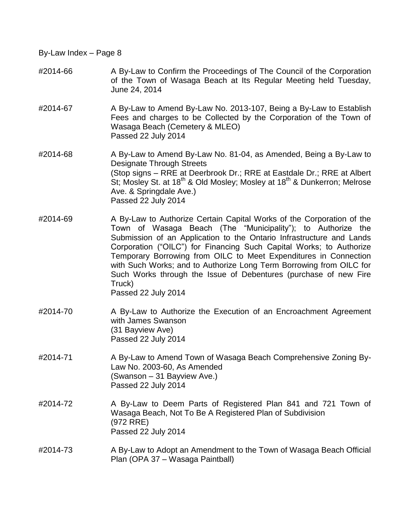- #2014-66 A By-Law to Confirm the Proceedings of The Council of the Corporation of the Town of Wasaga Beach at Its Regular Meeting held Tuesday, June 24, 2014
- #2014-67 A By-Law to Amend By-Law No. 2013-107, Being a By-Law to Establish Fees and charges to be Collected by the Corporation of the Town of Wasaga Beach (Cemetery & MLEO) Passed 22 July 2014
- #2014-68 A By-Law to Amend By-Law No. 81-04, as Amended, Being a By-Law to Designate Through Streets (Stop signs – RRE at Deerbrook Dr.; RRE at Eastdale Dr.; RRE at Albert St; Mosley St. at 18<sup>th</sup> & Old Mosley; Mosley at 18<sup>th</sup> & Dunkerron; Melrose Ave. & Springdale Ave.) Passed 22 July 2014
- #2014-69 A By-Law to Authorize Certain Capital Works of the Corporation of the Town of Wasaga Beach (The "Municipality"); to Authorize the Submission of an Application to the Ontario Infrastructure and Lands Corporation ("OILC") for Financing Such Capital Works; to Authorize Temporary Borrowing from OILC to Meet Expenditures in Connection with Such Works; and to Authorize Long Term Borrowing from OILC for Such Works through the Issue of Debentures (purchase of new Fire Truck) Passed 22 July 2014
- #2014-70 A By-Law to Authorize the Execution of an Encroachment Agreement with James Swanson (31 Bayview Ave) Passed 22 July 2014
- #2014-71 A By-Law to Amend Town of Wasaga Beach Comprehensive Zoning By-Law No. 2003-60, As Amended (Swanson – 31 Bayview Ave.) Passed 22 July 2014
- #2014-72 A By-Law to Deem Parts of Registered Plan 841 and 721 Town of Wasaga Beach, Not To Be A Registered Plan of Subdivision (972 RRE) Passed 22 July 2014
- #2014-73 A By-Law to Adopt an Amendment to the Town of Wasaga Beach Official Plan (OPA 37 – Wasaga Paintball)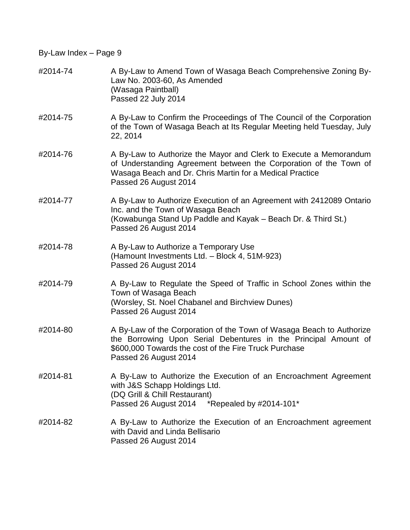| #2014-74 | A By-Law to Amend Town of Wasaga Beach Comprehensive Zoning By-<br>Law No. 2003-60, As Amended<br>(Wasaga Paintball)<br>Passed 22 July 2014                                                                                 |
|----------|-----------------------------------------------------------------------------------------------------------------------------------------------------------------------------------------------------------------------------|
| #2014-75 | A By-Law to Confirm the Proceedings of The Council of the Corporation<br>of the Town of Wasaga Beach at Its Regular Meeting held Tuesday, July<br>22, 2014                                                                  |
| #2014-76 | A By-Law to Authorize the Mayor and Clerk to Execute a Memorandum<br>of Understanding Agreement between the Corporation of the Town of<br>Wasaga Beach and Dr. Chris Martin for a Medical Practice<br>Passed 26 August 2014 |
| #2014-77 | A By-Law to Authorize Execution of an Agreement with 2412089 Ontario<br>Inc. and the Town of Wasaga Beach<br>(Kowabunga Stand Up Paddle and Kayak - Beach Dr. & Third St.)<br>Passed 26 August 2014                         |
| #2014-78 | A By-Law to Authorize a Temporary Use<br>(Hamount Investments Ltd. - Block 4, 51M-923)<br>Passed 26 August 2014                                                                                                             |
| #2014-79 | A By-Law to Regulate the Speed of Traffic in School Zones within the<br>Town of Wasaga Beach<br>(Worsley, St. Noel Chabanel and Birchview Dunes)<br>Passed 26 August 2014                                                   |
| #2014-80 | A By-Law of the Corporation of the Town of Wasaga Beach to Authorize<br>the Borrowing Upon Serial Debentures in the Principal Amount of<br>\$600,000 Towards the cost of the Fire Truck Purchase<br>Passed 26 August 2014   |
| #2014-81 | A By-Law to Authorize the Execution of an Encroachment Agreement<br>with J&S Schapp Holdings Ltd.<br>(DQ Grill & Chill Restaurant)<br>Passed 26 August 2014 *Repealed by #2014-101*                                         |
| #2014-82 | A By-Law to Authorize the Execution of an Encroachment agreement<br>with David and Linda Bellisario<br>Passed 26 August 2014                                                                                                |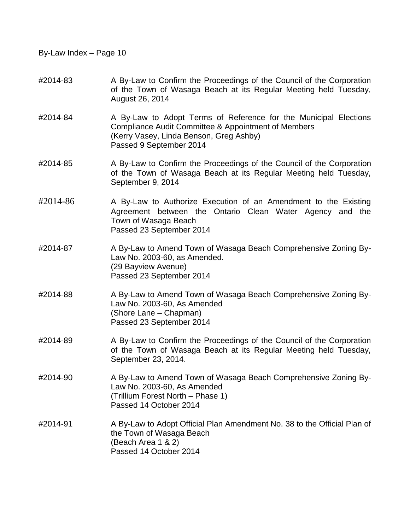## #2014-83 A By-Law to Confirm the Proceedings of the Council of the Corporation of the Town of Wasaga Beach at its Regular Meeting held Tuesday, August 26, 2014

- #2014-84 A By-Law to Adopt Terms of Reference for the Municipal Elections Compliance Audit Committee & Appointment of Members (Kerry Vasey, Linda Benson, Greg Ashby) Passed 9 September 2014
- #2014-85 A By-Law to Confirm the Proceedings of the Council of the Corporation of the Town of Wasaga Beach at its Regular Meeting held Tuesday, September 9, 2014
- #2014-86 A By-Law to Authorize Execution of an Amendment to the Existing Agreement between the Ontario Clean Water Agency and the Town of Wasaga Beach Passed 23 September 2014
- #2014-87 A By-Law to Amend Town of Wasaga Beach Comprehensive Zoning By-Law No. 2003-60, as Amended. (29 Bayview Avenue) Passed 23 September 2014
- #2014-88 A By-Law to Amend Town of Wasaga Beach Comprehensive Zoning By-Law No. 2003-60, As Amended (Shore Lane – Chapman) Passed 23 September 2014
- #2014-89 A By-Law to Confirm the Proceedings of the Council of the Corporation of the Town of Wasaga Beach at its Regular Meeting held Tuesday, September 23, 2014.
- #2014-90 A By-Law to Amend Town of Wasaga Beach Comprehensive Zoning By-Law No. 2003-60, As Amended (Trillium Forest North – Phase 1) Passed 14 October 2014
- #2014-91 A By-Law to Adopt Official Plan Amendment No. 38 to the Official Plan of the Town of Wasaga Beach (Beach Area 1 & 2) Passed 14 October 2014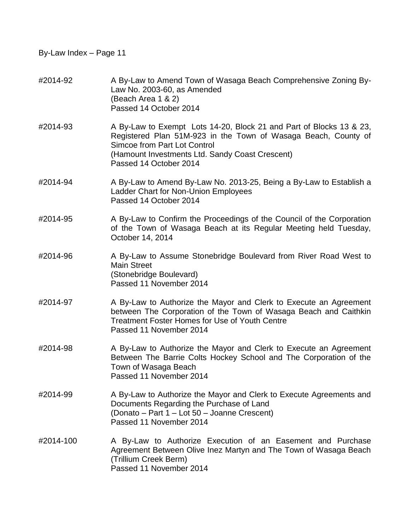| #2014-92  | A By-Law to Amend Town of Wasaga Beach Comprehensive Zoning By-<br>Law No. 2003-60, as Amended<br>(Beach Area 1 & 2)<br>Passed 14 October 2014                                                                                                            |
|-----------|-----------------------------------------------------------------------------------------------------------------------------------------------------------------------------------------------------------------------------------------------------------|
| #2014-93  | A By-Law to Exempt Lots 14-20, Block 21 and Part of Blocks 13 & 23,<br>Registered Plan 51M-923 in the Town of Wasaga Beach, County of<br><b>Simcoe from Part Lot Control</b><br>(Hamount Investments Ltd. Sandy Coast Crescent)<br>Passed 14 October 2014 |
| #2014-94  | A By-Law to Amend By-Law No. 2013-25, Being a By-Law to Establish a<br>Ladder Chart for Non-Union Employees<br>Passed 14 October 2014                                                                                                                     |
| #2014-95  | A By-Law to Confirm the Proceedings of the Council of the Corporation<br>of the Town of Wasaga Beach at its Regular Meeting held Tuesday,<br>October 14, 2014                                                                                             |
| #2014-96  | A By-Law to Assume Stonebridge Boulevard from River Road West to<br><b>Main Street</b><br>(Stonebridge Boulevard)<br>Passed 11 November 2014                                                                                                              |
| #2014-97  | A By-Law to Authorize the Mayor and Clerk to Execute an Agreement<br>between The Corporation of the Town of Wasaga Beach and Caithkin<br><b>Treatment Foster Homes for Use of Youth Centre</b><br>Passed 11 November 2014                                 |
| #2014-98  | A By-Law to Authorize the Mayor and Clerk to Execute an Agreement<br>Between The Barrie Colts Hockey School and The Corporation of the<br>Town of Wasaga Beach<br>Passed 11 November 2014                                                                 |
| #2014-99  | A By-Law to Authorize the Mayor and Clerk to Execute Agreements and<br>Documents Regarding the Purchase of Land<br>(Donato – Part 1 – Lot 50 – Joanne Crescent)<br>Passed 11 November 2014                                                                |
| #2014-100 | A By-Law to Authorize Execution of an Easement and Purchase<br>Agreement Between Olive Inez Martyn and The Town of Wasaga Beach<br>(Trillium Creek Berm)<br>Passed 11 November 2014                                                                       |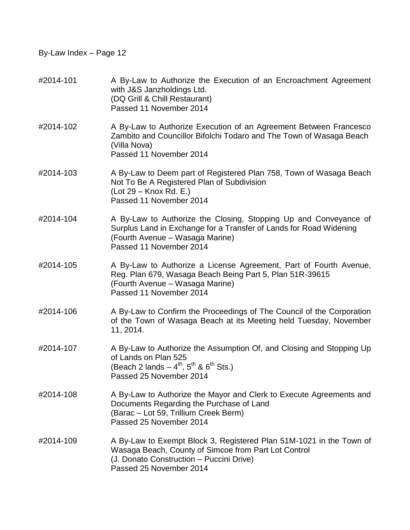| #2014-101 | A By-Law to Authorize the Execution of an Encroachment Agreement<br>with J&S Janzholdings Ltd.<br>(DQ Grill & Chill Restaurant)<br>Passed 11 November 2014                                           |
|-----------|------------------------------------------------------------------------------------------------------------------------------------------------------------------------------------------------------|
| #2014-102 | A By-Law to Authorize Execution of an Agreement Between Francesco<br>Zambito and Councillor Bifolchi Todaro and The Town of Wasaga Beach<br>(Villa Nova)<br>Passed 11 November 2014                  |
| #2014-103 | A By-Law to Deem part of Registered Plan 758, Town of Wasaga Beach<br>Not To Be A Registered Plan of Subdivision<br>(Lot 29 – Knox Rd. E.)<br>Passed 11 November 2014                                |
| #2014-104 | A By-Law to Authorize the Closing, Stopping Up and Conveyance of<br>Surplus Land in Exchange for a Transfer of Lands for Road Widening<br>(Fourth Avenue – Wasaga Marine)<br>Passed 11 November 2014 |
| #2014-105 | A By-Law to Authorize a License Agreement, Part of Fourth Avenue,<br>Reg. Plan 679, Wasaga Beach Being Part 5, Plan 51R-39615<br>(Fourth Avenue – Wasaga Marine)<br>Passed 11 November 2014          |
| #2014-106 | A By-Law to Confirm the Proceedings of The Council of the Corporation<br>of the Town of Wasaga Beach at its Meeting held Tuesday, November<br>11, 2014.                                              |
| #2014-107 | A By-Law to Authorize the Assumption Of, and Closing and Stopping Up<br>of Lands on Plan 525<br>(Beach 2 lands $- 4^{th}$ , $5^{th}$ & $6^{th}$ Sts.)<br>Passed 25 November 2014                     |
| #2014-108 | A By-Law to Authorize the Mayor and Clerk to Execute Agreements and<br>Documents Regarding the Purchase of Land<br>(Barac – Lot 59, Trillium Creek Berm)<br>Passed 25 November 2014                  |
| #2014-109 | A By-Law to Exempt Block 3, Registered Plan 51M-1021 in the Town of<br>Wasaga Beach, County of Simcoe from Part Lot Control<br>(J. Donato Construction - Puccini Drive)<br>Passed 25 November 2014   |